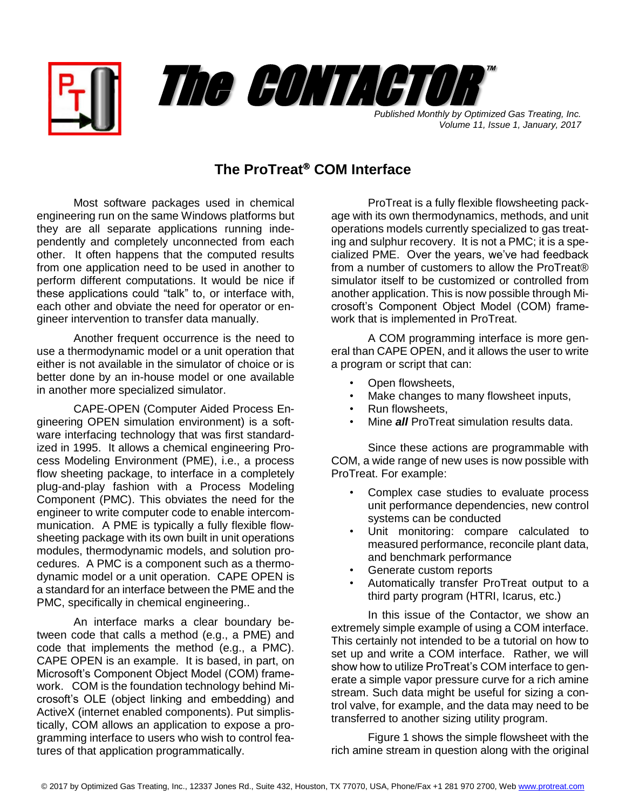



*Volume 11, Issue 1, January, 2017*

## **The ProTreat<sup>®</sup> COM Interface**

Most software packages used in chemical engineering run on the same Windows platforms but they are all separate applications running independently and completely unconnected from each other. It often happens that the computed results from one application need to be used in another to perform different computations. It would be nice if these applications could "talk" to, or interface with, each other and obviate the need for operator or engineer intervention to transfer data manually.

Another frequent occurrence is the need to use a thermodynamic model or a unit operation that either is not available in the simulator of choice or is better done by an in-house model or one available in another more specialized simulator.

CAPE-OPEN (Computer Aided Process Engineering OPEN simulation environment) is a software interfacing technology that was first standardized in 1995. It allows a chemical engineering Process Modeling Environment (PME), i.e., a process flow sheeting package, to interface in a completely plug-and-play fashion with a Process Modeling Component (PMC). This obviates the need for the engineer to write computer code to enable intercommunication. A PME is typically a fully flexible flowsheeting package with its own built in unit operations modules, thermodynamic models, and solution procedures. A PMC is a component such as a thermodynamic model or a unit operation. CAPE OPEN is a standard for an interface between the PME and the PMC, specifically in chemical engineering..

An interface marks a clear boundary between code that calls a method (e.g., a PME) and code that implements the method (e.g., a PMC). CAPE OPEN is an example. It is based, in part, on Microsoft's Component Object Model (COM) framework. COM is the foundation technology behind Microsoft's OLE (object linking and embedding) and ActiveX (internet enabled components). Put simplistically, COM allows an application to expose a programming interface to users who wish to control features of that application programmatically.

ProTreat is a fully flexible flowsheeting package with its own thermodynamics, methods, and unit operations models currently specialized to gas treating and sulphur recovery. It is not a PMC; it is a specialized PME. Over the years, we've had feedback from a number of customers to allow the ProTreat® simulator itself to be customized or controlled from another application. This is now possible through Microsoft's Component Object Model (COM) framework that is implemented in ProTreat.

A COM programming interface is more general than CAPE OPEN, and it allows the user to write a program or script that can:

- Open flowsheets,
- Make changes to many flowsheet inputs,
- Run flowsheets.
- Mine *all* ProTreat simulation results data.

Since these actions are programmable with COM, a wide range of new uses is now possible with ProTreat. For example:

- Complex case studies to evaluate process unit performance dependencies, new control systems can be conducted
- Unit monitoring: compare calculated to measured performance, reconcile plant data, and benchmark performance
- Generate custom reports
- Automatically transfer ProTreat output to a third party program (HTRI, Icarus, etc.)

In this issue of the Contactor, we show an extremely simple example of using a COM interface. This certainly not intended to be a tutorial on how to set up and write a COM interface. Rather, we will show how to utilize ProTreat's COM interface to generate a simple vapor pressure curve for a rich amine stream. Such data might be useful for sizing a control valve, for example, and the data may need to be transferred to another sizing utility program.

Figure 1 shows the simple flowsheet with the rich amine stream in question along with the original